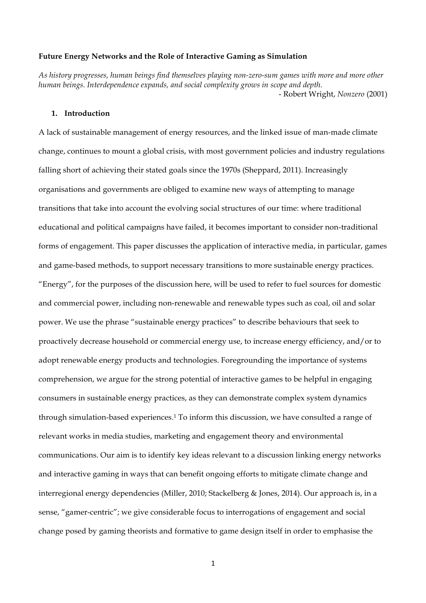#### **Future Energy Networks and the Role of Interactive Gaming as Simulation**

*As history progresses, human beings find themselves playing non-zero-sum games with more and more other human beings. Interdependence expands, and social complexity grows in scope and depth.*  - Robert Wright, *Nonzero* (2001)

# **1. Introduction**

A lack of sustainable management of energy resources, and the linked issue of man-made climate change, continues to mount a global crisis, with most government policies and industry regulations falling short of achieving their stated goals since the 1970s (Sheppard, 2011). Increasingly organisations and governments are obliged to examine new ways of attempting to manage transitions that take into account the evolving social structures of our time: where traditional educational and political campaigns have failed, it becomes important to consider non-traditional forms of engagement. This paper discusses the application of interactive media, in particular, games and game-based methods, to support necessary transitions to more sustainable energy practices. "Energy", for the purposes of the discussion here, will be used to refer to fuel sources for domestic and commercial power, including non-renewable and renewable types such as coal, oil and solar power. We use the phrase "sustainable energy practices" to describe behaviours that seek to proactively decrease household or commercial energy use, to increase energy efficiency, and/or to adopt renewable energy products and technologies. Foregrounding the importance of systems comprehension, we argue for the strong potential of interactive games to be helpful in engaging consumers in sustainable energy practices, as they can demonstrate complex system dynamics through simulation-based experiences.1 To inform this discussion, we have consulted a range of relevant works in media studies, marketing and engagement theory and environmental communications. Our aim is to identify key ideas relevant to a discussion linking energy networks and interactive gaming in ways that can benefit ongoing efforts to mitigate climate change and interregional energy dependencies (Miller, 2010; Stackelberg & Jones, 2014). Our approach is, in a sense, "gamer-centric"; we give considerable focus to interrogations of engagement and social change posed by gaming theorists and formative to game design itself in order to emphasise the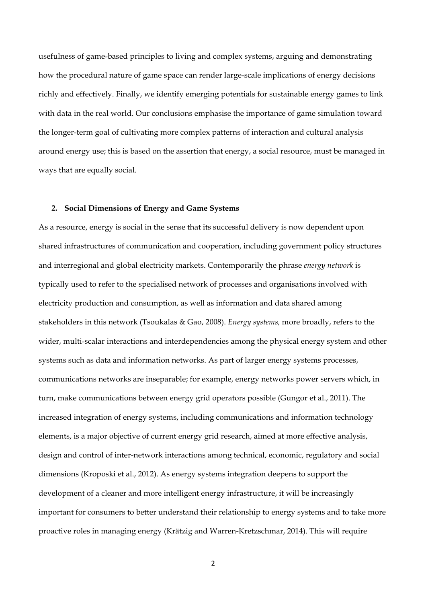usefulness of game-based principles to living and complex systems, arguing and demonstrating how the procedural nature of game space can render large-scale implications of energy decisions richly and effectively. Finally, we identify emerging potentials for sustainable energy games to link with data in the real world. Our conclusions emphasise the importance of game simulation toward the longer-term goal of cultivating more complex patterns of interaction and cultural analysis around energy use; this is based on the assertion that energy, a social resource, must be managed in ways that are equally social.

# **2. Social Dimensions of Energy and Game Systems**

As a resource, energy is social in the sense that its successful delivery is now dependent upon shared infrastructures of communication and cooperation, including government policy structures and interregional and global electricity markets. Contemporarily the phrase *energy network* is typically used to refer to the specialised network of processes and organisations involved with electricity production and consumption, as well as information and data shared among stakeholders in this network (Tsoukalas & Gao, 2008). *Energy systems,* more broadly, refers to the wider, multi-scalar interactions and interdependencies among the physical energy system and other systems such as data and information networks. As part of larger energy systems processes, communications networks are inseparable; for example, energy networks power servers which, in turn, make communications between energy grid operators possible (Gungor et al., 2011). The increased integration of energy systems, including communications and information technology elements, is a major objective of current energy grid research, aimed at more effective analysis, design and control of inter-network interactions among technical, economic, regulatory and social dimensions (Kroposki et al., 2012). As energy systems integration deepens to support the development of a cleaner and more intelligent energy infrastructure, it will be increasingly important for consumers to better understand their relationship to energy systems and to take more proactive roles in managing energy (Krätzig and Warren-Kretzschmar, 2014). This will require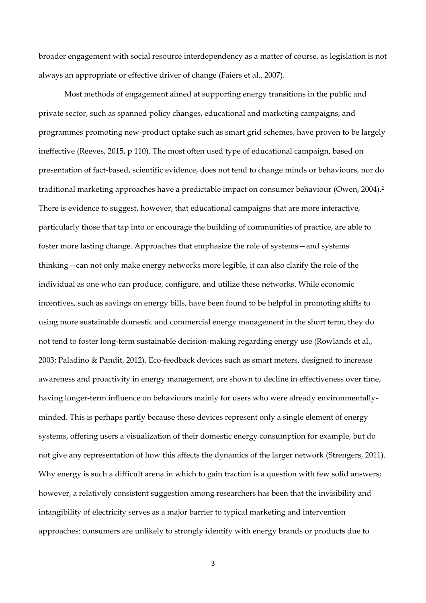broader engagement with social resource interdependency as a matter of course, as legislation is not always an appropriate or effective driver of change (Faiers et al., 2007).

Most methods of engagement aimed at supporting energy transitions in the public and private sector, such as spanned policy changes, educational and marketing campaigns, and programmes promoting new-product uptake such as smart grid schemes, have proven to be largely ineffective (Reeves, 2015, p 110). The most often used type of educational campaign, based on presentation of fact-based, scientific evidence, does not tend to change minds or behaviours, nor do traditional marketing approaches have a predictable impact on consumer behaviour (Owen, 2004).2 There is evidence to suggest, however, that educational campaigns that are more interactive, particularly those that tap into or encourage the building of communities of practice, are able to foster more lasting change. Approaches that emphasize the role of systems—and systems thinking—can not only make energy networks more legible, it can also clarify the role of the individual as one who can produce, configure, and utilize these networks. While economic incentives, such as savings on energy bills, have been found to be helpful in promoting shifts to using more sustainable domestic and commercial energy management in the short term, they do not tend to foster long-term sustainable decision-making regarding energy use (Rowlands et al., 2003; Paladino & Pandit, 2012). Eco-feedback devices such as smart meters, designed to increase awareness and proactivity in energy management, are shown to decline in effectiveness over time, having longer-term influence on behaviours mainly for users who were already environmentallyminded. This is perhaps partly because these devices represent only a single element of energy systems, offering users a visualization of their domestic energy consumption for example, but do not give any representation of how this affects the dynamics of the larger network (Strengers, 2011). Why energy is such a difficult arena in which to gain traction is a question with few solid answers; however, a relatively consistent suggestion among researchers has been that the invisibility and intangibility of electricity serves as a major barrier to typical marketing and intervention approaches: consumers are unlikely to strongly identify with energy brands or products due to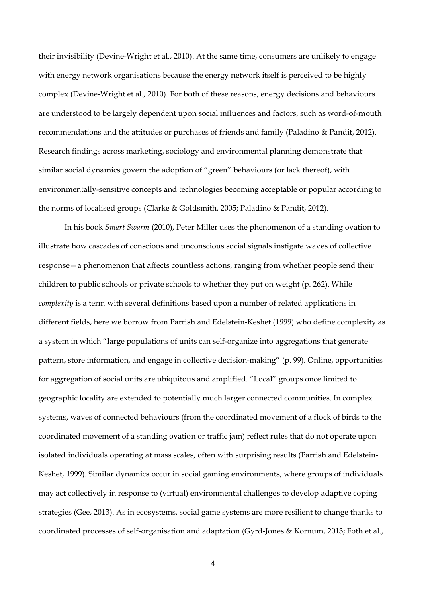their invisibility (Devine-Wright et al., 2010). At the same time, consumers are unlikely to engage with energy network organisations because the energy network itself is perceived to be highly complex (Devine-Wright et al., 2010). For both of these reasons, energy decisions and behaviours are understood to be largely dependent upon social influences and factors, such as word-of-mouth recommendations and the attitudes or purchases of friends and family (Paladino & Pandit, 2012). Research findings across marketing, sociology and environmental planning demonstrate that similar social dynamics govern the adoption of "green" behaviours (or lack thereof), with environmentally-sensitive concepts and technologies becoming acceptable or popular according to the norms of localised groups (Clarke & Goldsmith, 2005; Paladino & Pandit, 2012).

In his book *Smart Swarm* (2010), Peter Miller uses the phenomenon of a standing ovation to illustrate how cascades of conscious and unconscious social signals instigate waves of collective response—a phenomenon that affects countless actions, ranging from whether people send their children to public schools or private schools to whether they put on weight (p. 262). While *complexity* is a term with several definitions based upon a number of related applications in different fields, here we borrow from Parrish and Edelstein-Keshet (1999) who define complexity as a system in which "large populations of units can self-organize into aggregations that generate pattern, store information, and engage in collective decision-making" (p. 99). Online, opportunities for aggregation of social units are ubiquitous and amplified. "Local" groups once limited to geographic locality are extended to potentially much larger connected communities. In complex systems, waves of connected behaviours (from the coordinated movement of a flock of birds to the coordinated movement of a standing ovation or traffic jam) reflect rules that do not operate upon isolated individuals operating at mass scales, often with surprising results (Parrish and Edelstein-Keshet, 1999). Similar dynamics occur in social gaming environments, where groups of individuals may act collectively in response to (virtual) environmental challenges to develop adaptive coping strategies (Gee, 2013). As in ecosystems, social game systems are more resilient to change thanks to coordinated processes of self-organisation and adaptation (Gyrd-Jones & Kornum, 2013; Foth et al.,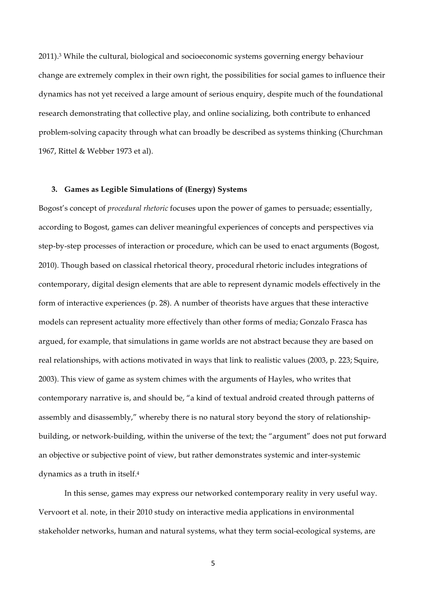2011).3 While the cultural, biological and socioeconomic systems governing energy behaviour change are extremely complex in their own right, the possibilities for social games to influence their dynamics has not yet received a large amount of serious enquiry, despite much of the foundational research demonstrating that collective play, and online socializing, both contribute to enhanced problem-solving capacity through what can broadly be described as systems thinking (Churchman 1967, Rittel & Webber 1973 et al).

## **3. Games as Legible Simulations of (Energy) Systems**

Bogost's concept of *procedural rhetoric* focuses upon the power of games to persuade; essentially, according to Bogost, games can deliver meaningful experiences of concepts and perspectives via step-by-step processes of interaction or procedure, which can be used to enact arguments (Bogost, 2010). Though based on classical rhetorical theory, procedural rhetoric includes integrations of contemporary, digital design elements that are able to represent dynamic models effectively in the form of interactive experiences (p. 28). A number of theorists have argues that these interactive models can represent actuality more effectively than other forms of media; Gonzalo Frasca has argued, for example, that simulations in game worlds are not abstract because they are based on real relationships, with actions motivated in ways that link to realistic values (2003, p. 223; Squire, 2003). This view of game as system chimes with the arguments of Hayles, who writes that contemporary narrative is, and should be, "a kind of textual android created through patterns of assembly and disassembly," whereby there is no natural story beyond the story of relationshipbuilding, or network-building, within the universe of the text; the "argument" does not put forward an objective or subjective point of view, but rather demonstrates systemic and inter-systemic dynamics as a truth in itself.4

In this sense, games may express our networked contemporary reality in very useful way. Vervoort et al. note, in their 2010 study on interactive media applications in environmental stakeholder networks, human and natural systems, what they term social-ecological systems, are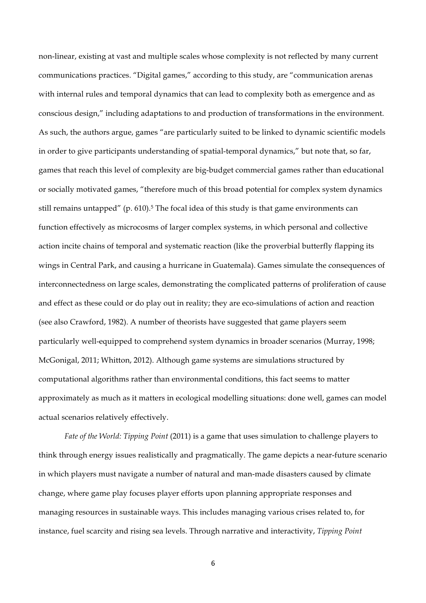non-linear, existing at vast and multiple scales whose complexity is not reflected by many current communications practices. "Digital games," according to this study, are "communication arenas with internal rules and temporal dynamics that can lead to complexity both as emergence and as conscious design," including adaptations to and production of transformations in the environment. As such, the authors argue, games "are particularly suited to be linked to dynamic scientific models in order to give participants understanding of spatial-temporal dynamics," but note that, so far, games that reach this level of complexity are big-budget commercial games rather than educational or socially motivated games, "therefore much of this broad potential for complex system dynamics still remains untapped" (p.  $610$ ).<sup>5</sup> The focal idea of this study is that game environments can function effectively as microcosms of larger complex systems, in which personal and collective action incite chains of temporal and systematic reaction (like the proverbial butterfly flapping its wings in Central Park, and causing a hurricane in Guatemala). Games simulate the consequences of interconnectedness on large scales, demonstrating the complicated patterns of proliferation of cause and effect as these could or do play out in reality; they are eco-simulations of action and reaction (see also Crawford, 1982). A number of theorists have suggested that game players seem particularly well-equipped to comprehend system dynamics in broader scenarios (Murray, 1998; McGonigal, 2011; Whitton, 2012). Although game systems are simulations structured by computational algorithms rather than environmental conditions, this fact seems to matter approximately as much as it matters in ecological modelling situations: done well, games can model actual scenarios relatively effectively.

*Fate of the World: Tipping Point* (2011) is a game that uses simulation to challenge players to think through energy issues realistically and pragmatically. The game depicts a near-future scenario in which players must navigate a number of natural and man-made disasters caused by climate change, where game play focuses player efforts upon planning appropriate responses and managing resources in sustainable ways. This includes managing various crises related to, for instance, fuel scarcity and rising sea levels. Through narrative and interactivity, *Tipping Point*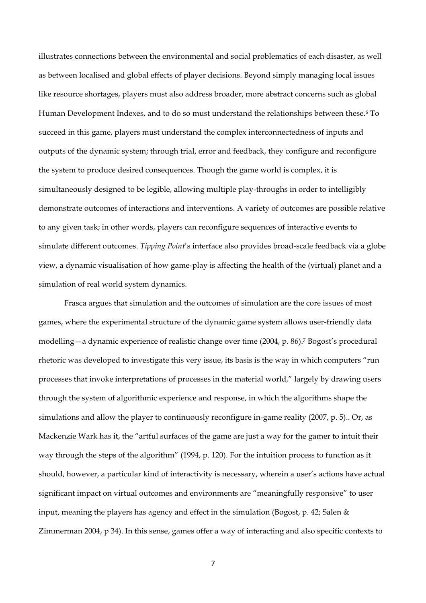illustrates connections between the environmental and social problematics of each disaster, as well as between localised and global effects of player decisions. Beyond simply managing local issues like resource shortages, players must also address broader, more abstract concerns such as global Human Development Indexes, and to do so must understand the relationships between these.6 To succeed in this game, players must understand the complex interconnectedness of inputs and outputs of the dynamic system; through trial, error and feedback, they configure and reconfigure the system to produce desired consequences. Though the game world is complex, it is simultaneously designed to be legible, allowing multiple play-throughs in order to intelligibly demonstrate outcomes of interactions and interventions. A variety of outcomes are possible relative to any given task; in other words, players can reconfigure sequences of interactive events to simulate different outcomes. *Tipping Point*'s interface also provides broad-scale feedback via a globe view, a dynamic visualisation of how game-play is affecting the health of the (virtual) planet and a simulation of real world system dynamics.

Frasca argues that simulation and the outcomes of simulation are the core issues of most games, where the experimental structure of the dynamic game system allows user-friendly data modelling—a dynamic experience of realistic change over time (2004, p. 86).7 Bogost's procedural rhetoric was developed to investigate this very issue, its basis is the way in which computers "run processes that invoke interpretations of processes in the material world," largely by drawing users through the system of algorithmic experience and response, in which the algorithms shape the simulations and allow the player to continuously reconfigure in-game reality (2007, p. 5).. Or, as Mackenzie Wark has it, the "artful surfaces of the game are just a way for the gamer to intuit their way through the steps of the algorithm" (1994, p. 120). For the intuition process to function as it should, however, a particular kind of interactivity is necessary, wherein a user's actions have actual significant impact on virtual outcomes and environments are "meaningfully responsive" to user input, meaning the players has agency and effect in the simulation (Bogost, p. 42; Salen & Zimmerman 2004, p 34). In this sense, games offer a way of interacting and also specific contexts to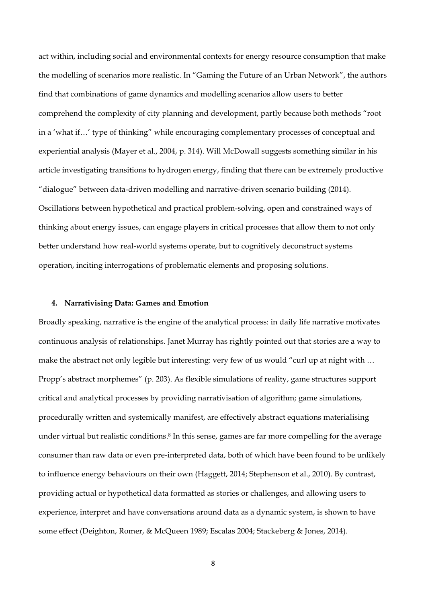act within, including social and environmental contexts for energy resource consumption that make the modelling of scenarios more realistic. In "Gaming the Future of an Urban Network", the authors find that combinations of game dynamics and modelling scenarios allow users to better comprehend the complexity of city planning and development, partly because both methods "root in a 'what if…' type of thinking" while encouraging complementary processes of conceptual and experiential analysis (Mayer et al., 2004, p. 314). Will McDowall suggests something similar in his article investigating transitions to hydrogen energy, finding that there can be extremely productive "dialogue" between data-driven modelling and narrative-driven scenario building (2014). Oscillations between hypothetical and practical problem-solving, open and constrained ways of thinking about energy issues, can engage players in critical processes that allow them to not only better understand how real-world systems operate, but to cognitively deconstruct systems operation, inciting interrogations of problematic elements and proposing solutions.

# **4. Narrativising Data: Games and Emotion**

Broadly speaking, narrative is the engine of the analytical process: in daily life narrative motivates continuous analysis of relationships. Janet Murray has rightly pointed out that stories are a way to make the abstract not only legible but interesting: very few of us would "curl up at night with … Propp's abstract morphemes" (p. 203). As flexible simulations of reality, game structures support critical and analytical processes by providing narrativisation of algorithm; game simulations, procedurally written and systemically manifest, are effectively abstract equations materialising under virtual but realistic conditions.<sup>8</sup> In this sense, games are far more compelling for the average consumer than raw data or even pre-interpreted data, both of which have been found to be unlikely to influence energy behaviours on their own (Haggett, 2014; Stephenson et al., 2010). By contrast, providing actual or hypothetical data formatted as stories or challenges, and allowing users to experience, interpret and have conversations around data as a dynamic system, is shown to have some effect (Deighton, Romer, & McQueen 1989; Escalas 2004; Stackeberg & Jones, 2014).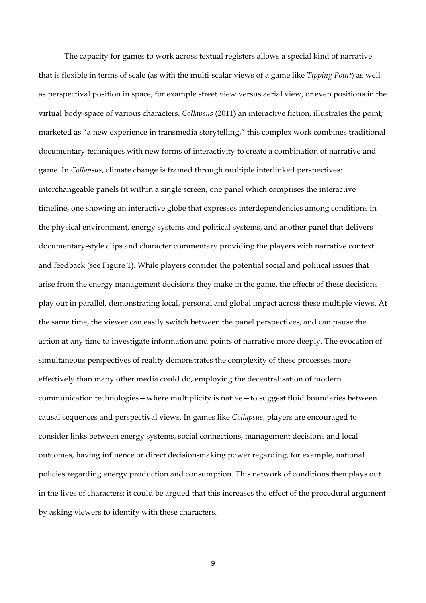The capacity for games to work across textual registers allows a special kind of narrative that is flexible in terms of scale (as with the multi-scalar views of a game like *Tipping Point*) as well as perspectival position in space, for example street view versus aerial view, or even positions in the virtual body-space of various characters. *Collapsus* (2011) an interactive fiction, illustrates the point; marketed as "a new experience in transmedia storytelling," this complex work combines traditional documentary techniques with new forms of interactivity to create a combination of narrative and game. In *Collapsus*, climate change is framed through multiple interlinked perspectives: interchangeable panels fit within a single screen, one panel which comprises the interactive timeline, one showing an interactive globe that expresses interdependencies among conditions in the physical environment, energy systems and political systems, and another panel that delivers documentary-style clips and character commentary providing the players with narrative context and feedback (see Figure 1). While players consider the potential social and political issues that arise from the energy management decisions they make in the game, the effects of these decisions play out in parallel, demonstrating local, personal and global impact across these multiple views. At the same time, the viewer can easily switch between the panel perspectives, and can pause the action at any time to investigate information and points of narrative more deeply. The evocation of simultaneous perspectives of reality demonstrates the complexity of these processes more effectively than many other media could do, employing the decentralisation of modern communication technologies—where multiplicity is native—to suggest fluid boundaries between causal sequences and perspectival views. In games like *Collapsus*, players are encouraged to consider links between energy systems, social connections, management decisions and local outcomes, having influence or direct decision-making power regarding, for example, national policies regarding energy production and consumption. This network of conditions then plays out in the lives of characters; it could be argued that this increases the effect of the procedural argument by asking viewers to identify with these characters.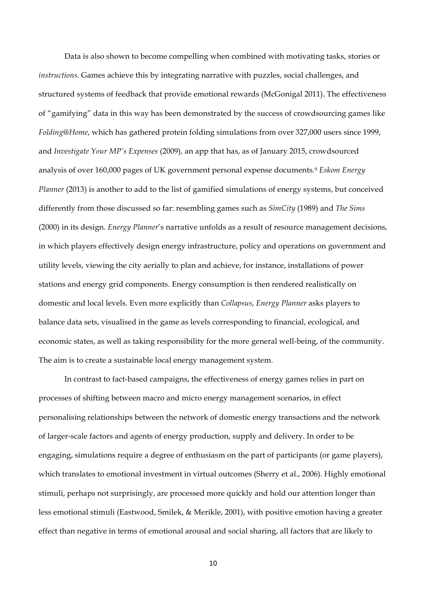Data is also shown to become compelling when combined with motivating tasks, stories or *instructions*. Games achieve this by integrating narrative with puzzles, social challenges, and structured systems of feedback that provide emotional rewards (McGonigal 2011). The effectiveness of "gamifying" data in this way has been demonstrated by the success of crowdsourcing games like *Folding@Home*, which has gathered protein folding simulations from over 327,000 users since 1999, and *Investigate Your MP's Expenses* (2009)*,* an app that has, as of January 2015, crowdsourced analysis of over 160,000 pages of UK government personal expense documents.9 *Eskom Energy Planner* (2013) is another to add to the list of gamified simulations of energy systems, but conceived differently from those discussed so far: resembling games such as *SimCity* (1989) and *The Sims* (2000) in its design. *Energy Planner*'s narrative unfolds as a result of resource management decisions, in which players effectively design energy infrastructure, policy and operations on government and utility levels, viewing the city aerially to plan and achieve, for instance, installations of power stations and energy grid components. Energy consumption is then rendered realistically on domestic and local levels. Even more explicitly than *Collapsus*, *Energy Planner* asks players to balance data sets, visualised in the game as levels corresponding to financial, ecological, and economic states, as well as taking responsibility for the more general well-being, of the community. The aim is to create a sustainable local energy management system.

In contrast to fact-based campaigns, the effectiveness of energy games relies in part on processes of shifting between macro and micro energy management scenarios, in effect personalising relationships between the network of domestic energy transactions and the network of larger-scale factors and agents of energy production, supply and delivery. In order to be engaging, simulations require a degree of enthusiasm on the part of participants (or game players), which translates to emotional investment in virtual outcomes (Sherry et al., 2006). Highly emotional stimuli, perhaps not surprisingly, are processed more quickly and hold our attention longer than less emotional stimuli (Eastwood, Smilek, & Merikle, 2001), with positive emotion having a greater effect than negative in terms of emotional arousal and social sharing, all factors that are likely to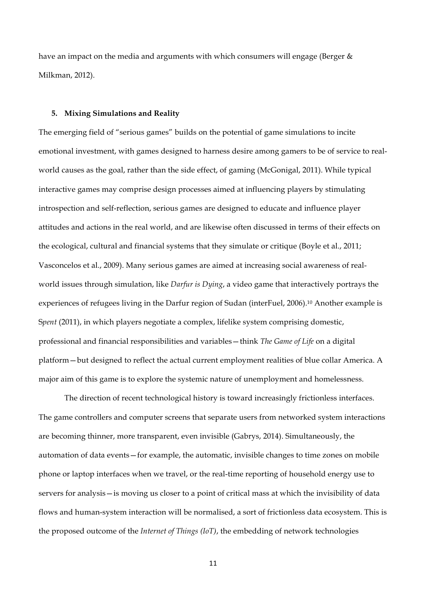have an impact on the media and arguments with which consumers will engage (Berger & Milkman, 2012).

# **5. Mixing Simulations and Reality**

The emerging field of "serious games" builds on the potential of game simulations to incite emotional investment, with games designed to harness desire among gamers to be of service to realworld causes as the goal, rather than the side effect, of gaming (McGonigal, 2011). While typical interactive games may comprise design processes aimed at influencing players by stimulating introspection and self-reflection, serious games are designed to educate and influence player attitudes and actions in the real world, and are likewise often discussed in terms of their effects on the ecological, cultural and financial systems that they simulate or critique (Boyle et al., 2011; Vasconcelos et al., 2009). Many serious games are aimed at increasing social awareness of realworld issues through simulation, like *Darfur is Dying*, a video game that interactively portrays the experiences of refugees living in the Darfur region of Sudan (interFuel, 2006).10 Another example is S*pent* (2011), in which players negotiate a complex, lifelike system comprising domestic, professional and financial responsibilities and variables—think *The Game of Life* on a digital platform—but designed to reflect the actual current employment realities of blue collar America. A major aim of this game is to explore the systemic nature of unemployment and homelessness.

The direction of recent technological history is toward increasingly frictionless interfaces. The game controllers and computer screens that separate users from networked system interactions are becoming thinner, more transparent, even invisible (Gabrys, 2014). Simultaneously, the automation of data events—for example, the automatic, invisible changes to time zones on mobile phone or laptop interfaces when we travel, or the real-time reporting of household energy use to servers for analysis—is moving us closer to a point of critical mass at which the invisibility of data flows and human-system interaction will be normalised, a sort of frictionless data ecosystem. This is the proposed outcome of the *Internet of Things (IoT)*, the embedding of network technologies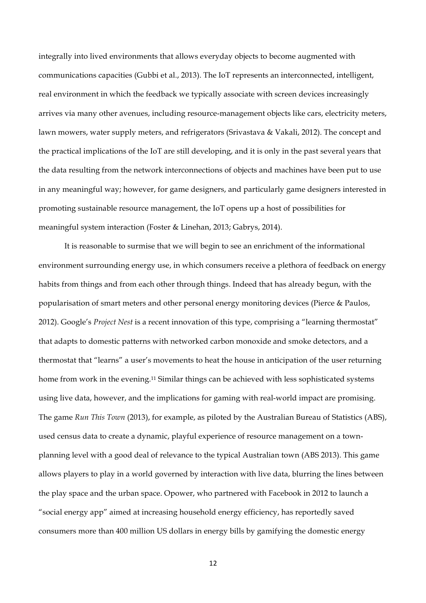integrally into lived environments that allows everyday objects to become augmented with communications capacities (Gubbi et al., 2013). The IoT represents an interconnected, intelligent, real environment in which the feedback we typically associate with screen devices increasingly arrives via many other avenues, including resource-management objects like cars, electricity meters, lawn mowers, water supply meters, and refrigerators (Srivastava & Vakali, 2012). The concept and the practical implications of the IoT are still developing, and it is only in the past several years that the data resulting from the network interconnections of objects and machines have been put to use in any meaningful way; however, for game designers, and particularly game designers interested in promoting sustainable resource management, the IoT opens up a host of possibilities for meaningful system interaction (Foster & Linehan, 2013; Gabrys, 2014).

It is reasonable to surmise that we will begin to see an enrichment of the informational environment surrounding energy use, in which consumers receive a plethora of feedback on energy habits from things and from each other through things. Indeed that has already begun, with the popularisation of smart meters and other personal energy monitoring devices (Pierce & Paulos, 2012). Google's *Project Nest* is a recent innovation of this type, comprising a "learning thermostat" that adapts to domestic patterns with networked carbon monoxide and smoke detectors, and a thermostat that "learns" a user's movements to heat the house in anticipation of the user returning home from work in the evening.<sup>11</sup> Similar things can be achieved with less sophisticated systems using live data, however, and the implications for gaming with real-world impact are promising. The game *Run This Town* (2013), for example, as piloted by the Australian Bureau of Statistics (ABS), used census data to create a dynamic, playful experience of resource management on a townplanning level with a good deal of relevance to the typical Australian town (ABS 2013). This game allows players to play in a world governed by interaction with live data, blurring the lines between the play space and the urban space. Opower, who partnered with Facebook in 2012 to launch a "social energy app" aimed at increasing household energy efficiency, has reportedly saved consumers more than 400 million US dollars in energy bills by gamifying the domestic energy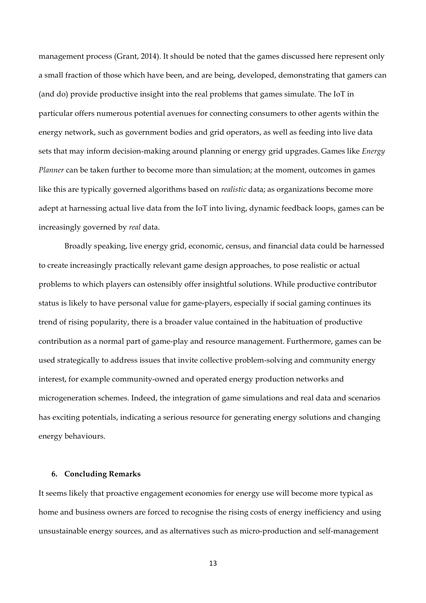management process (Grant, 2014). It should be noted that the games discussed here represent only a small fraction of those which have been, and are being, developed, demonstrating that gamers can (and do) provide productive insight into the real problems that games simulate. The IoT in particular offers numerous potential avenues for connecting consumers to other agents within the energy network, such as government bodies and grid operators, as well as feeding into live data sets that may inform decision-making around planning or energy grid upgrades. Games like *Energy Planner* can be taken further to become more than simulation; at the moment, outcomes in games like this are typically governed algorithms based on *realistic* data; as organizations become more adept at harnessing actual live data from the IoT into living, dynamic feedback loops, games can be increasingly governed by *real* data.

Broadly speaking, live energy grid, economic, census, and financial data could be harnessed to create increasingly practically relevant game design approaches, to pose realistic or actual problems to which players can ostensibly offer insightful solutions. While productive contributor status is likely to have personal value for game-players, especially if social gaming continues its trend of rising popularity, there is a broader value contained in the habituation of productive contribution as a normal part of game-play and resource management. Furthermore, games can be used strategically to address issues that invite collective problem-solving and community energy interest, for example community-owned and operated energy production networks and microgeneration schemes. Indeed, the integration of game simulations and real data and scenarios has exciting potentials, indicating a serious resource for generating energy solutions and changing energy behaviours.

## **6. Concluding Remarks**

It seems likely that proactive engagement economies for energy use will become more typical as home and business owners are forced to recognise the rising costs of energy inefficiency and using unsustainable energy sources, and as alternatives such as micro-production and self-management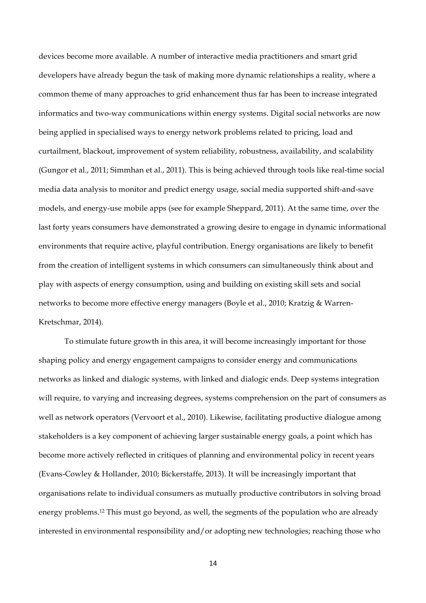devices become more available. A number of interactive media practitioners and smart grid developers have already begun the task of making more dynamic relationships a reality, where a common theme of many approaches to grid enhancement thus far has been to increase integrated informatics and two-way communications within energy systems. Digital social networks are now being applied in specialised ways to energy network problems related to pricing, load and curtailment, blackout, improvement of system reliability, robustness, availability, and scalability (Gungor et al., 2011; Simmhan et al., 2011). This is being achieved through tools like real-time social media data analysis to monitor and predict energy usage, social media supported shift-and-save models, and energy-use mobile apps (see for example Sheppard, 2011). At the same time, over the last forty years consumers have demonstrated a growing desire to engage in dynamic informational environments that require active, playful contribution. Energy organisations are likely to benefit from the creation of intelligent systems in which consumers can simultaneously think about and play with aspects of energy consumption, using and building on existing skill sets and social networks to become more effective energy managers (Boyle et al., 2010; Kratzig & Warren-Kretschmar, 2014).

To stimulate future growth in this area, it will become increasingly important for those shaping policy and energy engagement campaigns to consider energy and communications networks as linked and dialogic systems, with linked and dialogic ends. Deep systems integration will require, to varying and increasing degrees, systems comprehension on the part of consumers as well as network operators (Vervoort et al., 2010). Likewise, facilitating productive dialogue among stakeholders is a key component of achieving larger sustainable energy goals, a point which has become more actively reflected in critiques of planning and environmental policy in recent years (Evans-Cowley & Hollander, 2010; Bickerstaffe, 2013). It will be increasingly important that organisations relate to individual consumers as mutually productive contributors in solving broad energy problems.12 This must go beyond, as well, the segments of the population who are already interested in environmental responsibility and/or adopting new technologies; reaching those who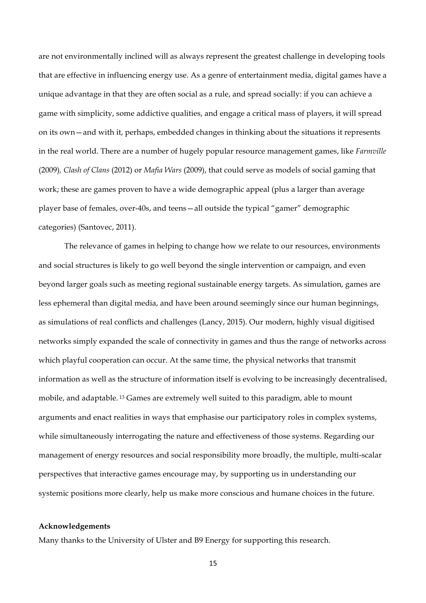are not environmentally inclined will as always represent the greatest challenge in developing tools that are effective in influencing energy use. As a genre of entertainment media, digital games have a unique advantage in that they are often social as a rule, and spread socially: if you can achieve a game with simplicity, some addictive qualities, and engage a critical mass of players, it will spread on its own—and with it, perhaps, embedded changes in thinking about the situations it represents in the real world. There are a number of hugely popular resource management games, like *Farmville* (2009)*, Clash of Clans* (2012) or *Mafia Wars* (2009), that could serve as models of social gaming that work; these are games proven to have a wide demographic appeal (plus a larger than average player base of females, over-40s, and teens—all outside the typical "gamer" demographic categories) (Santovec, 2011).

The relevance of games in helping to change how we relate to our resources, environments and social structures is likely to go well beyond the single intervention or campaign, and even beyond larger goals such as meeting regional sustainable energy targets. As simulation, games are less ephemeral than digital media, and have been around seemingly since our human beginnings, as simulations of real conflicts and challenges (Lancy, 2015). Our modern, highly visual digitised networks simply expanded the scale of connectivity in games and thus the range of networks across which playful cooperation can occur. At the same time, the physical networks that transmit information as well as the structure of information itself is evolving to be increasingly decentralised, mobile, and adaptable. <sup>13</sup> Games are extremely well suited to this paradigm, able to mount arguments and enact realities in ways that emphasise our participatory roles in complex systems, while simultaneously interrogating the nature and effectiveness of those systems. Regarding our management of energy resources and social responsibility more broadly, the multiple, multi-scalar perspectives that interactive games encourage may, by supporting us in understanding our systemic positions more clearly, help us make more conscious and humane choices in the future.

#### **Acknowledgements**

Many thanks to the University of Ulster and B9 Energy for supporting this research.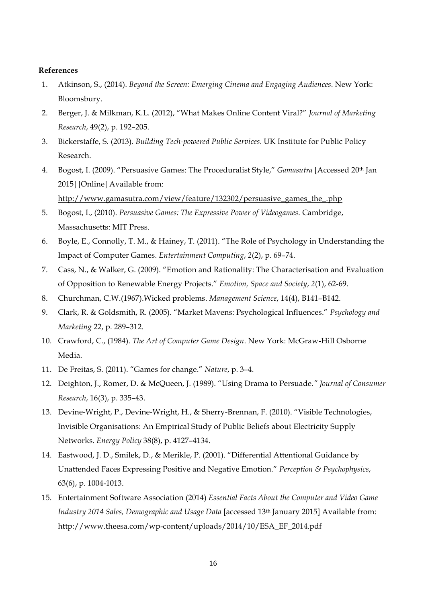# **References**

- 1. Atkinson, S., (2014). *Beyond the Screen: Emerging Cinema and Engaging Audiences*. New York: Bloomsbury.
- 2. Berger, J. & Milkman, K.L. (2012), "What Makes Online Content Viral?" *Journal of Marketing Research*, 49(2), p. 192–205.
- 3. Bickerstaffe, S. (2013). *Building Tech-powered Public Services*. UK Institute for Public Policy Research.
- 4. Bogost, I. (2009). "Persuasive Games: The Proceduralist Style," *Gamasutra* [Accessed 20th Jan 2015] [Online] Available from:

http://www.gamasutra.com/view/feature/132302/persuasive\_games\_the\_.php

- 5. Bogost, I., (2010). *Persuasive Games: The Expressive Power of Videogames*. Cambridge, Massachusetts: MIT Press.
- 6. Boyle, E., Connolly, T. M., & Hainey, T. (2011). "The Role of Psychology in Understanding the Impact of Computer Games. *Entertainment Computing*, *2*(2), p. 69–74.
- 7. Cass, N., & Walker, G. (2009). "Emotion and Rationality: The Characterisation and Evaluation of Opposition to Renewable Energy Projects." *Emotion, Space and Society*, *2*(1), 62-69.
- 8. Churchman, C.W.(1967).Wicked problems. *Management Science*, 14(4), B141–B142.
- 9. Clark, R. & Goldsmith, R. (2005). "Market Mavens: Psychological Influences." *Psychology and Marketing* 22, p. 289–312.
- 10. Crawford, C., (1984). *The Art of Computer Game Design*. New York: McGraw-Hill Osborne Media.
- 11. De Freitas, S. (2011). "Games for change." *Nature*, p. 3–4.
- 12. Deighton, J., Romer, D. & McQueen, J. (1989). "Using Drama to Persuade*." Journal of Consumer Research*, 16(3), p. 335–43.
- 13. Devine-Wright, P., Devine-Wright, H., & Sherry-Brennan, F. (2010). "Visible Technologies, Invisible Organisations: An Empirical Study of Public Beliefs about Electricity Supply Networks. *Energy Policy* 38(8), p. 4127–4134.
- 14. Eastwood, J. D., Smilek, D., & Merikle, P. (2001). "Differential Attentional Guidance by Unattended Faces Expressing Positive and Negative Emotion." *Perception & Psychophysics*, 63(6), p. 1004-1013.
- 15. Entertainment Software Association (2014) *Essential Facts About the Computer and Video Game Industry 2014 Sales, Demographic and Usage Data* [accessed 13th January 2015] Available from: http://www.theesa.com/wp-content/uploads/2014/10/ESA\_EF\_2014.pdf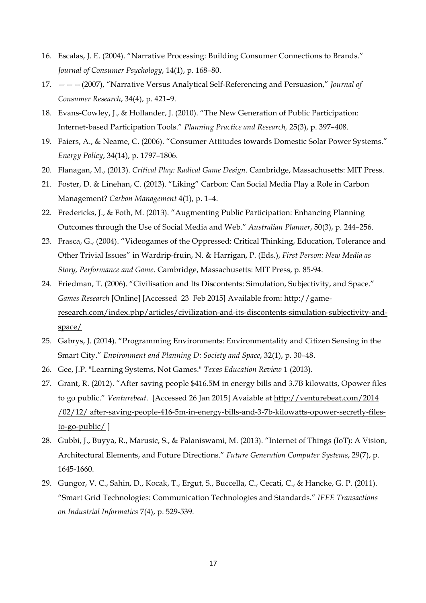- 16. Escalas, J. E. (2004). "Narrative Processing: Building Consumer Connections to Brands." *Journal of Consumer Psychology*, 14(1), p. 168–80.
- 17. ———(2007), "Narrative Versus Analytical Self-Referencing and Persuasion," *Journal of Consumer Research*, 34(4), p. 421–9.
- 18. Evans-Cowley, J., & Hollander, J. (2010). "The New Generation of Public Participation: Internet-based Participation Tools." *Planning Practice and Research,* 25(3), p. 397–408.
- 19. Faiers, A., & Neame, C. (2006). "Consumer Attitudes towards Domestic Solar Power Systems." *Energy Policy*, 34(14), p. 1797–1806.
- 20. Flanagan, M., (2013). *Critical Play: Radical Game Design*. Cambridge, Massachusetts: MIT Press.
- 21. Foster, D. & Linehan, C. (2013). "Liking" Carbon: Can Social Media Play a Role in Carbon Management? *Carbon Management* 4(1), p. 1–4.
- 22. Fredericks, J., & Foth, M. (2013). "Augmenting Public Participation: Enhancing Planning Outcomes through the Use of Social Media and Web." *Australian Planner*, 50(3), p. 244–256.
- 23. Frasca, G., (2004). "Videogames of the Oppressed: Critical Thinking, Education, Tolerance and Other Trivial Issues" in Wardrip-fruin, N. & Harrigan, P. (Eds.), *First Person: New Media as Story, Performance and Game*. Cambridge, Massachusetts: MIT Press, p. 85-94.
- 24. Friedman, T. (2006). "Civilisation and Its Discontents: Simulation, Subjectivity, and Space." *Games Research* [Online] [Accessed 23 Feb 2015] Available from: http://gameresearch.com/index.php/articles/civilization-and-its-discontents-simulation-subjectivity-andspace/
- 25. Gabrys, J. (2014). "Programming Environments: Environmentality and Citizen Sensing in the Smart City." *Environment and Planning D: Society and Space*, 32(1), p. 30–48.
- 26. Gee, J.P. "Learning Systems, Not Games." *Texas Education Review* 1 (2013).
- 27. Grant, R. (2012). "After saving people \$416.5M in energy bills and 3.7B kilowatts, Opower files to go public." *Venturebeat*. [Accessed 26 Jan 2015] Avaiable at http://venturebeat.com/2014 /02/12/ after-saving-people-416-5m-in-energy-bills-and-3-7b-kilowatts-opower-secretly-filesto-go-public/ ]
- 28. Gubbi, J., Buyya, R., Marusic, S., & Palaniswami, M. (2013). "Internet of Things (IoT): A Vision, Architectural Elements, and Future Directions." *Future Generation Computer Systems*, 29(7), p. 1645-1660.
- 29. Gungor, V. C., Sahin, D., Kocak, T., Ergut, S., Buccella, C., Cecati, C., & Hancke, G. P. (2011). "Smart Grid Technologies: Communication Technologies and Standards." *IEEE Transactions on Industrial Informatics* 7(4), p. 529-539.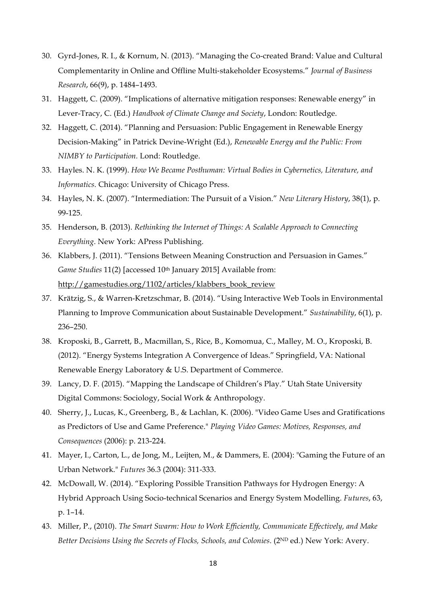- 30. Gyrd-Jones, R. I., & Kornum, N. (2013). "Managing the Co-created Brand: Value and Cultural Complementarity in Online and Offline Multi-stakeholder Ecosystems." *Journal of Business Research*, 66(9), p. 1484–1493.
- 31. Haggett, C. (2009). "Implications of alternative mitigation responses: Renewable energy" in Lever-Tracy, C. (Ed.) *Handbook of Climate Change and Society*, London: Routledge.
- 32. Haggett, C. (2014). "Planning and Persuasion: Public Engagement in Renewable Energy Decision-Making" in Patrick Devine-Wright (Ed.), *Renewable Energy and the Public: From NIMBY to Participation.* Lond: Routledge.
- 33. Hayles. N. K. (1999). *How We Became Posthuman: Virtual Bodies in Cybernetics, Literature, and Informatics.* Chicago: University of Chicago Press.
- 34. Hayles, N. K. (2007). "Intermediation: The Pursuit of a Vision." *New Literary History*, 38(1), p. 99-125.
- 35. Henderson, B. (2013). *Rethinking the Internet of Things: A Scalable Approach to Connecting Everything*. New York: APress Publishing.
- 36. Klabbers, J. (2011). "Tensions Between Meaning Construction and Persuasion in Games." Game Studies 11(2) [accessed 10<sup>th</sup> January 2015] Available from: http://gamestudies.org/1102/articles/klabbers\_book\_review
- 37. Krätzig, S., & Warren-Kretzschmar, B. (2014). "Using Interactive Web Tools in Environmental Planning to Improve Communication about Sustainable Development." *Sustainability*, 6(1), p. 236–250.
- 38. Kroposki, B., Garrett, B., Macmillan, S., Rice, B., Komomua, C., Malley, M. O., Kroposki, B. (2012). "Energy Systems Integration A Convergence of Ideas." Springfield, VA: National Renewable Energy Laboratory & U.S. Department of Commerce.
- 39. Lancy, D. F. (2015). "Mapping the Landscape of Children's Play." Utah State University Digital Commons: Sociology, Social Work & Anthropology.
- 40. Sherry, J., Lucas, K., Greenberg, B., & Lachlan, K. (2006). "Video Game Uses and Gratifications as Predictors of Use and Game Preference." *Playing Video Games: Motives, Responses, and Consequences* (2006): p. 213-224.
- 41. Mayer, I., Carton, L., de Jong, M., Leijten, M., & Dammers, E. (2004): "Gaming the Future of an Urban Network." *Futures* 36.3 (2004): 311-333.
- 42. McDowall, W. (2014). "Exploring Possible Transition Pathways for Hydrogen Energy: A Hybrid Approach Using Socio-technical Scenarios and Energy System Modelling. *Futures*, 63, p. 1–14.
- 43. Miller, P., (2010). *The Smart Swarm: How to Work Efficiently, Communicate Effectively, and Make Better Decisions Using the Secrets of Flocks, Schools, and Colonies*. (2ND ed.) New York: Avery.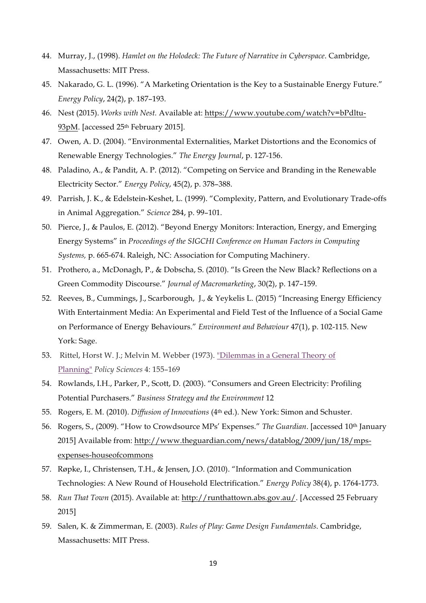- 44. Murray, J., (1998). *Hamlet on the Holodeck: The Future of Narrative in Cyberspace*. Cambridge, Massachusetts: MIT Press.
- 45. Nakarado, G. L. (1996). "A Marketing Orientation is the Key to a Sustainable Energy Future." *Energy Policy*, 24(2), p. 187–193.
- 46. Nest (2015). *Works with Nest.* Available at: https://www.youtube.com/watch?v=bPdltu-93pM. [accessed 25<sup>th</sup> February 2015].
- 47. Owen, A. D. (2004). "Environmental Externalities, Market Distortions and the Economics of Renewable Energy Technologies." *The Energy Journal*, p. 127-156.
- 48. Paladino, A., & Pandit, A. P. (2012). "Competing on Service and Branding in the Renewable Electricity Sector." *Energy Policy*, 45(2), p. 378–388.
- 49. Parrish, J. K., & Edelstein-Keshet, L. (1999). "Complexity, Pattern, and Evolutionary Trade-offs in Animal Aggregation." *Science* 284, p. 99–101.
- 50. Pierce, J., & Paulos, E. (2012). "Beyond Energy Monitors: Interaction, Energy, and Emerging Energy Systems" in *Proceedings of the SIGCHI Conference on Human Factors in Computing Systems,* p. 665-674. Raleigh, NC: Association for Computing Machinery.
- 51. Prothero, a., McDonagh, P., & Dobscha, S. (2010). "Is Green the New Black? Reflections on a Green Commodity Discourse." *Journal of Macromarketing*, 30(2), p. 147–159.
- 52. Reeves, B., Cummings, J., Scarborough, J., & Yeykelis L. (2015) "Increasing Energy Efficiency With Entertainment Media: An Experimental and Field Test of the Influence of a Social Game on Performance of Energy Behaviours." *Environment and Behaviour* 47(1), p. 102-115. New York: Sage.
- 53. Rittel, Horst W. J.; Melvin M. Webber (1973). "Dilemmas in a General Theory of Planning" *Policy Sciences* 4: 155–169
- 54. Rowlands, I.H., Parker, P., Scott, D. (2003). "Consumers and Green Electricity: Profiling Potential Purchasers." *Business Strategy and the Environment* 12
- 55. Rogers, E. M. (2010). *Diffusion of Innovations* (4th ed.). New York: Simon and Schuster.
- 56. Rogers, S., (2009). "How to Crowdsource MPs' Expenses." *The Guardian*. [accessed 10th January 2015] Available from: http://www.theguardian.com/news/datablog/2009/jun/18/mpsexpenses-houseofcommons
- 57. Røpke, I., Christensen, T.H., & Jensen, J.O. (2010). "Information and Communication Technologies: A New Round of Household Electrification." *Energy Policy* 38(4), p. 1764-1773.
- 58. *Run That Town* (2015). Available at: http://runthattown.abs.gov.au/. [Accessed 25 February 2015]
- 59. Salen, K. & Zimmerman, E. (2003). *Rules of Play: Game Design Fundamentals*. Cambridge, Massachusetts: MIT Press.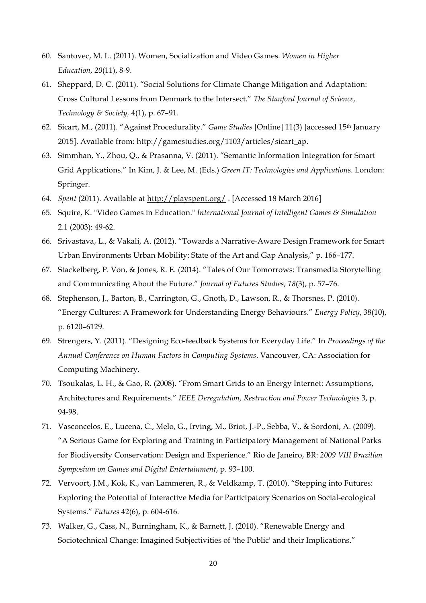- 60. Santovec, M. L. (2011). Women, Socialization and Video Games. *Women in Higher Education*, *20*(11), 8-9.
- 61. Sheppard, D. C. (2011). "Social Solutions for Climate Change Mitigation and Adaptation: Cross Cultural Lessons from Denmark to the Intersect." *The Stanford Journal of Science, Technology & Society,* 4(1), p. 67–91.
- 62. Sicart, M., (2011). "Against Procedurality." *Game Studies* [Online] 11(3) [accessed 15th January 2015]. Available from: http://gamestudies.org/1103/articles/sicart\_ap.
- 63. Simmhan, Y., Zhou, Q., & Prasanna, V. (2011). "Semantic Information Integration for Smart Grid Applications." In Kim, J. & Lee, M. (Eds.) *Green IT: Technologies and Applications*. London: Springer.
- 64. *Spent* (2011). Available at http://playspent.org/ . [Accessed 18 March 2016]
- 65. Squire, K. "Video Games in Education." *International Journal of Intelligent Games & Simulation* 2.1 (2003): 49-62.
- 66. Srivastava, L., & Vakali, A. (2012). "Towards a Narrative-Aware Design Framework for Smart Urban Environments Urban Mobility: State of the Art and Gap Analysis," p. 166–177.
- 67. Stackelberg, P. Von, & Jones, R. E. (2014). "Tales of Our Tomorrows: Transmedia Storytelling and Communicating About the Future." *Journal of Futures Studies*, *18*(3), p. 57–76.
- 68. Stephenson, J., Barton, B., Carrington, G., Gnoth, D., Lawson, R., & Thorsnes, P. (2010). "Energy Cultures: A Framework for Understanding Energy Behaviours." *Energy Policy*, 38(10), p. 6120–6129.
- 69. Strengers, Y. (2011). "Designing Eco-feedback Systems for Everyday Life." In *Proceedings of the Annual Conference on Human Factors in Computing Systems*. Vancouver, CA: Association for Computing Machinery.
- 70. Tsoukalas, L. H., & Gao, R. (2008). "From Smart Grids to an Energy Internet: Assumptions, Architectures and Requirements." *IEEE Deregulation, Restruction and Power Technologies* 3, p. 94-98.
- 71. Vasconcelos, E., Lucena, C., Melo, G., Irving, M., Briot, J.-P., Sebba, V., & Sordoni, A. (2009). "A Serious Game for Exploring and Training in Participatory Management of National Parks for Biodiversity Conservation: Design and Experience." Rio de Janeiro, BR: *2009 VIII Brazilian Symposium on Games and Digital Entertainment*, p. 93–100.
- 72. Vervoort, J.M., Kok, K., van Lammeren, R., & Veldkamp, T. (2010). "Stepping into Futures: Exploring the Potential of Interactive Media for Participatory Scenarios on Social-ecological Systems." *Futures* 42(6), p. 604-616.
- 73. Walker, G., Cass, N., Burningham, K., & Barnett, J. (2010). "Renewable Energy and Sociotechnical Change: Imagined Subjectivities of 'the Public' and their Implications."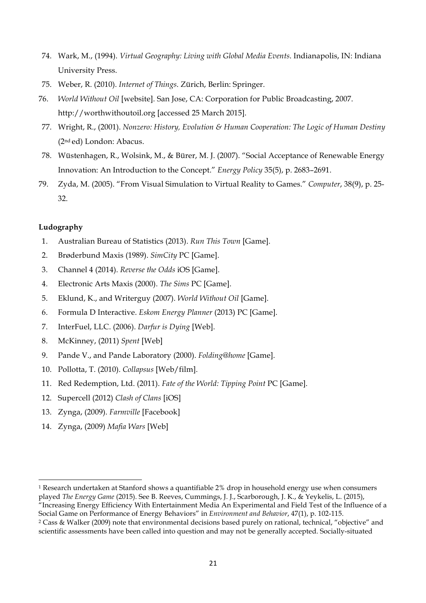- 74. Wark, M., (1994). *Virtual Geography: Living with Global Media Events*. Indianapolis, IN: Indiana University Press.
- 75. Weber, R. (2010). *Internet of Things*. Zürich, Berlin: Springer.
- 76. *World Without Oil* [website]. San Jose, CA: Corporation for Public Broadcasting, 2007. http://worthwithoutoil.org [accessed 25 March 2015].
- 77. Wright, R., (2001). *Nonzero: History, Evolution & Human Cooperation: The Logic of Human Destiny* (2nd ed) London: Abacus.
- 78. Wüstenhagen, R., Wolsink, M., & Bürer, M. J. (2007). "Social Acceptance of Renewable Energy Innovation: An Introduction to the Concept." *Energy Policy* 35(5), p. 2683–2691.
- 79. Zyda, M. (2005). "From Visual Simulation to Virtual Reality to Games." *Computer*, 38(9), p. 25- 32.

# **Ludography**

- 1. Australian Bureau of Statistics (2013). *Run This Town* [Game].
- 2. Brøderbund Maxis (1989). *SimCity* PC [Game].
- 3. Channel 4 (2014). *Reverse the Odds* iOS [Game].
- 4. Electronic Arts Maxis (2000). *The Sims* PC [Game].
- 5. Eklund, K., and Writerguy (2007). *World Without Oil* [Game].
- 6. Formula D Interactive. *Eskom Energy Planner* (2013) PC [Game].
- 7. InterFuel, LLC. (2006). *Darfur is Dying* [Web].
- 8. McKinney, (2011) *Spent* [Web]
- 9. Pande V., and Pande Laboratory (2000). *Folding@home* [Game].
- 10. Pollotta, T. (2010). *Collapsus* [Web/film].
- 11. Red Redemption, Ltd. (2011). *Fate of the World: Tipping Point* PC [Game].
- 12. Supercell (2012) *Clash of Clans* [iOS]
- 13. Zynga, (2009). *Farmville* [Facebook]
- 14. Zynga, (2009) *Mafia Wars* [Web]

<u> 1989 - Johann Barn, mars ann an t-Amhain an t-Amhain an t-Amhain an t-Amhain an t-Amhain an t-Amhain an t-Amh</u>

<sup>1</sup> Research undertaken at Stanford shows a quantifiable 2% drop in household energy use when consumers played *The Energy Game* (2015). See B. Reeves, Cummings, J. J., Scarborough, J. K., & Yeykelis, L. (2015),

<sup>&</sup>quot;Increasing Energy Efficiency With Entertainment Media An Experimental and Field Test of the Influence of a Social Game on Performance of Energy Behaviors" in *Environment and Behavior*, 47(1), p. 102-115.

<sup>2</sup> Cass & Walker (2009) note that environmental decisions based purely on rational, technical, "objective" and scientific assessments have been called into question and may not be generally accepted. Socially-situated